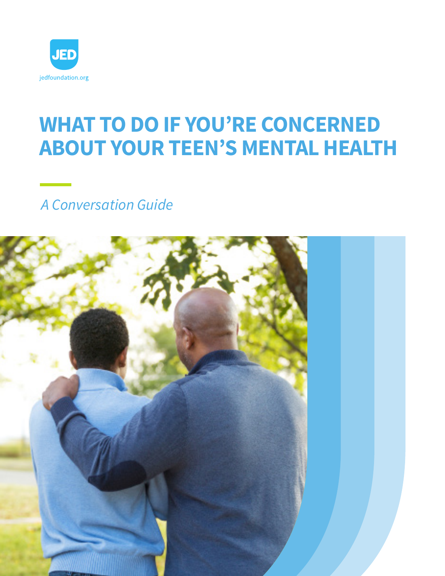

# **WHAT TO DO IF YOU'RE CONCERNED ABOUT YOUR TEEN'S MENTAL HEALTH**

*A Conversation Guide*

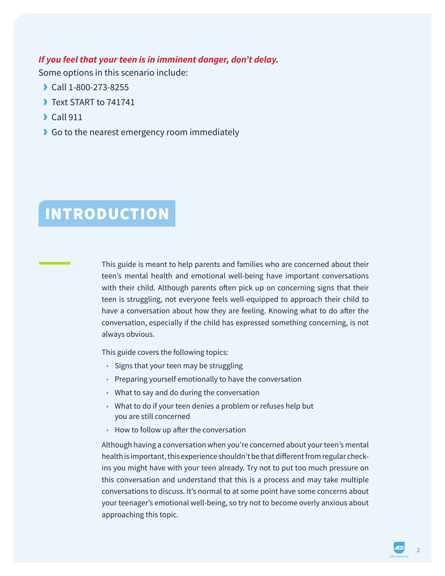#### *If you feel that your teen is in imminent danger, don't delay.*

Some options in this scenario include:

- › Call 1-800-273-8255
- › Text START to 741741
- › Call 911
- › Go to the nearest emergency room immediately

# INTRODUCTION

This guide is meant to help parents and families who are concerned about their teen's mental health and emotional well-being have important conversations with their child. Although parents often pick up on concerning signs that their teen is struggling, not everyone feels well-equipped to approach their child to have a conversation about how they are feeling. Knowing what to do after the conversation, especially if the child has expressed something concerning, is not always obvious.

This guide covers the following topics:

- Signs that your teen may be struggling
- Preparing yourself emotionally to have the conversation
- What to say and do during the conversation
- What to do if your teen denies a problem or refuses help but you are still concerned
- How to follow up after the conversation

Although having a conversation when you're concerned about your teen's mental health is important, this experience shouldn't be that different from regular checkins you might have with your teen already. Try not to put too much pressure on this conversation and understand that this is a process and may take multiple conversations to discuss. It's normal to at some point have some concerns about your teenager's emotional well-being, so try not to become overly anxious about approaching this topic.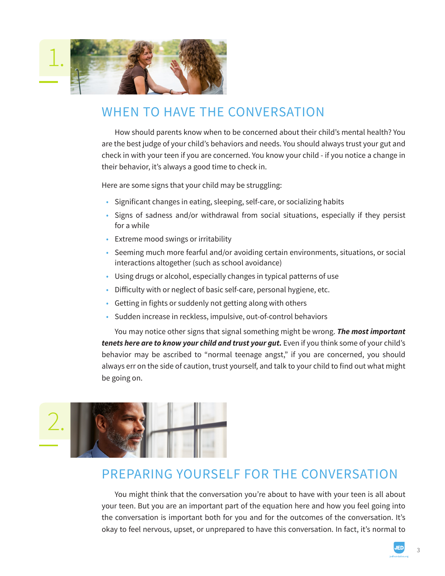

## WHEN TO HAVE THE CONVERSATION

How should parents know when to be concerned about their child's mental health? You are the best judge of your child's behaviors and needs. You should always trust your gut and check in with your teen if you are concerned. You know your child - if you notice a change in their behavior, it's always a good time to check in.

Here are some signs that your child may be struggling:

- Significant changes in eating, sleeping, self-care, or socializing habits
- Signs of sadness and/or withdrawal from social situations, especially if they persist for a while
- Extreme mood swings or irritability
- Seeming much more fearful and/or avoiding certain environments, situations, or social interactions altogether (such as school avoidance)
- Using drugs or alcohol, especially changes in typical patterns of use
- Difficulty with or neglect of basic self-care, personal hygiene, etc.
- Getting in fights or suddenly not getting along with others
- Sudden increase in reckless, impulsive, out-of-control behaviors

You may notice other signs that signal something might be wrong. *The most important tenets here are to know your child and trust your gut.* Even if you think some of your child's behavior may be ascribed to "normal teenage angst," if you are concerned, you should always err on the side of caution, trust yourself, and talk to your child to find out what might be going on.



### PREPARING YOURSELF FOR THE CONVERSATION

You might think that the conversation you're about to have with your teen is all about your teen. But you are an important part of the equation here and how you feel going into the conversation is important both for you and for the outcomes of the conversation. It's okay to feel nervous, upset, or unprepared to have this conversation. In fact, it's normal to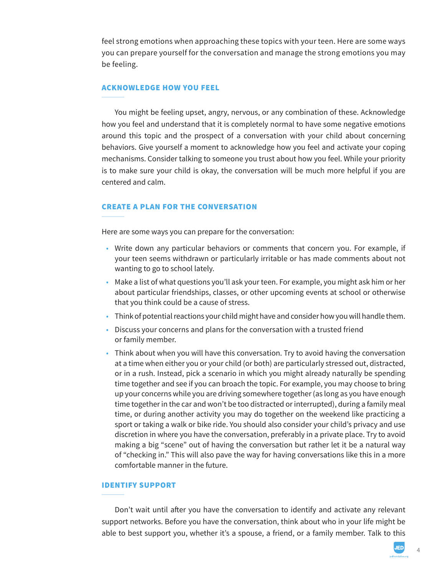feel strong emotions when approaching these topics with your teen. Here are some ways you can prepare yourself for the conversation and manage the strong emotions you may be feeling.

#### ACKNOWLEDGE HOW YOU FEEL

You might be feeling upset, angry, nervous, or any combination of these. Acknowledge how you feel and understand that it is completely normal to have some negative emotions around this topic and the prospect of a conversation with your child about concerning behaviors. Give yourself a moment to acknowledge how you feel and activate your coping mechanisms. Consider talking to someone you trust about how you feel. While your priority is to make sure your child is okay, the conversation will be much more helpful if you are centered and calm.

#### CREATE A PLAN FOR THE CONVERSATION

Here are some ways you can prepare for the conversation:

- Write down any particular behaviors or comments that concern you. For example, if your teen seems withdrawn or particularly irritable or has made comments about not wanting to go to school lately.
- Make a list of what questions you'll ask your teen. For example, you might ask him or her about particular friendships, classes, or other upcoming events at school or otherwise that you think could be a cause of stress.
- Think of potential reactions your child might have and consider how you will handle them.
- Discuss your concerns and plans for the conversation with a trusted friend or family member.
- Think about when you will have this conversation. Try to avoid having the conversation at a time when either you or your child (or both) are particularly stressed out, distracted, or in a rush. Instead, pick a scenario in which you might already naturally be spending time together and see if you can broach the topic. For example, you may choose to bring up your concerns while you are driving somewhere together (as long as you have enough time together in the car and won't be too distracted or interrupted), during a family meal time, or during another activity you may do together on the weekend like practicing a sport or taking a walk or bike ride. You should also consider your child's privacy and use discretion in where you have the conversation, preferably in a private place. Try to avoid making a big "scene" out of having the conversation but rather let it be a natural way of "checking in." This will also pave the way for having conversations like this in a more comfortable manner in the future.

#### IDENTIFY SUPPORT

Don't wait until after you have the conversation to identify and activate any relevant support networks. Before you have the conversation, think about who in your life might be able to best support you, whether it's a spouse, a friend, or a family member. Talk to this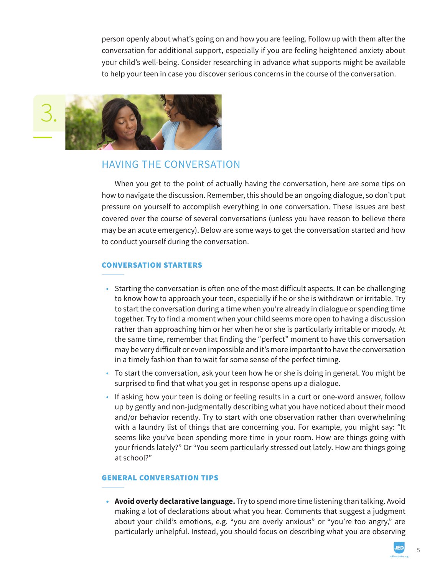person openly about what's going on and how you are feeling. Follow up with them after the conversation for additional support, especially if you are feeling heightened anxiety about your child's well-being. Consider researching in advance what supports might be available to help your teen in case you discover serious concerns in the course of the conversation.



### HAVING THE CONVERSATION

When you get to the point of actually having the conversation, here are some tips on how to navigate the discussion. Remember, this should be an ongoing dialogue, so don't put pressure on yourself to accomplish everything in one conversation. These issues are best covered over the course of several conversations (unless you have reason to believe there may be an acute emergency). Below are some ways to get the conversation started and how to conduct yourself during the conversation.

#### CONVERSATION STARTERS

- Starting the conversation is often one of the most difficult aspects. It can be challenging to know how to approach your teen, especially if he or she is withdrawn or irritable. Try to start the conversation during a time when you're already in dialogue or spending time together. Try to find a moment when your child seems more open to having a discussion rather than approaching him or her when he or she is particularly irritable or moody. At the same time, remember that finding the "perfect" moment to have this conversation may be very difficult or even impossible and it's more important to have the conversation in a timely fashion than to wait for some sense of the perfect timing.
- To start the conversation, ask your teen how he or she is doing in general. You might be surprised to find that what you get in response opens up a dialogue.
- If asking how your teen is doing or feeling results in a curt or one-word answer, follow up by gently and non-judgmentally describing what you have noticed about their mood and/or behavior recently. Try to start with one observation rather than overwhelming with a laundry list of things that are concerning you. For example, you might say: "It seems like you've been spending more time in your room. How are things going with your friends lately?" Or "You seem particularly stressed out lately. How are things going at school?"

#### GENERAL CONVERSATION TIPS

**• Avoid overly declarative language.** Try to spend more time listening than talking. Avoid making a lot of declarations about what you hear. Comments that suggest a judgment about your child's emotions, e.g. "you are overly anxious" or "you're too angry," are particularly unhelpful. Instead, you should focus on describing what you are observing

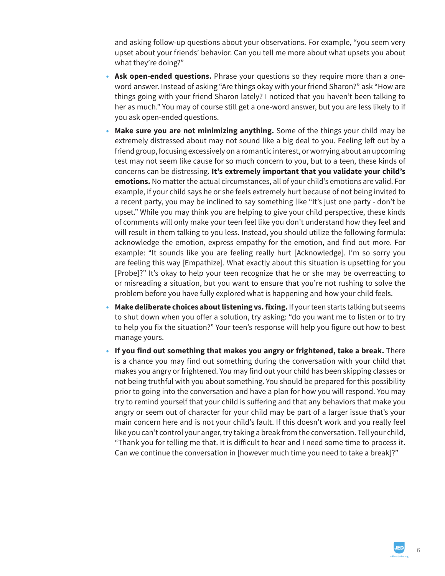and asking follow-up questions about your observations. For example, "you seem very upset about your friends' behavior. Can you tell me more about what upsets you about what they're doing?"

- **• Ask open-ended questions.** Phrase your questions so they require more than a oneword answer. Instead of asking "Are things okay with your friend Sharon?" ask "How are things going with your friend Sharon lately? I noticed that you haven't been talking to her as much." You may of course still get a one-word answer, but you are less likely to if you ask open-ended questions.
- **• Make sure you are not minimizing anything.** Some of the things your child may be extremely distressed about may not sound like a big deal to you. Feeling left out by a friend group, focusing excessively on a romantic interest, or worrying about an upcoming test may not seem like cause for so much concern to you, but to a teen, these kinds of concerns can be distressing. **It's extremely important that you validate your child's emotions.** No matter the actual circumstances, all of your child's emotions are valid. For example, if your child says he or she feels extremely hurt because of not being invited to a recent party, you may be inclined to say something like "It's just one party - don't be upset." While you may think you are helping to give your child perspective, these kinds of comments will only make your teen feel like you don't understand how they feel and will result in them talking to you less. Instead, you should utilize the following formula: acknowledge the emotion, express empathy for the emotion, and find out more. For example: "It sounds like you are feeling really hurt [Acknowledge]. I'm so sorry you are feeling this way [Empathize]. What exactly about this situation is upsetting for you [Probe]?" It's okay to help your teen recognize that he or she may be overreacting to or misreading a situation, but you want to ensure that you're not rushing to solve the problem before you have fully explored what is happening and how your child feels.
- **• Make deliberate choices about listening vs. fixing.** If your teen starts talking but seems to shut down when you offer a solution, try asking: "do you want me to listen or to try to help you fix the situation?" Your teen's response will help you figure out how to best manage yours.
- **• If you find out something that makes you angry or frightened, take a break.** There is a chance you may find out something during the conversation with your child that makes you angry or frightened. You may find out your child has been skipping classes or not being truthful with you about something. You should be prepared for this possibility prior to going into the conversation and have a plan for how you will respond. You may try to remind yourself that your child is suffering and that any behaviors that make you angry or seem out of character for your child may be part of a larger issue that's your main concern here and is not your child's fault. If this doesn't work and you really feel like you can't control your anger, try taking a break from the conversation. Tell your child, "Thank you for telling me that. It is difficult to hear and I need some time to process it. Can we continue the conversation in [however much time you need to take a break]?"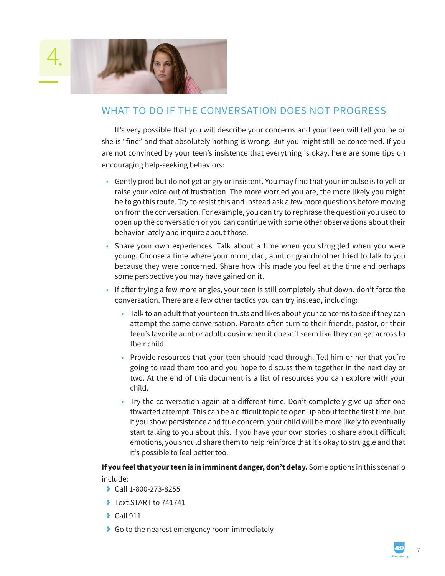

### WHAT TO DO IF THE CONVERSATION DOES NOT PROGRESS

It's very possible that you will describe your concerns and your teen will tell you he or she is "fine" and that absolutely nothing is wrong. But you might still be concerned. If you are not convinced by your teen's insistence that everything is okay, here are some tips on encouraging help-seeking behaviors:

- Gently prod but do not get angry or insistent. You may find that your impulse is to yell or raise your voice out of frustration. The more worried you are, the more likely you might be to go this route. Try to resist this and instead ask a few more questions before moving on from the conversation. For example, you can try to rephrase the question you used to open up the conversation or you can continue with some other observations about their behavior lately and inquire about those.
- Share your own experiences. Talk about a time when you struggled when you were young. Choose a time where your mom, dad, aunt or grandmother tried to talk to you because they were concerned. Share how this made you feel at the time and perhaps some perspective you may have gained on it.
- If after trying a few more angles, your teen is still completely shut down, don't force the conversation. There are a few other tactics you can try instead, including:
	- Talk to an adult that your teen trusts and likes about your concerns to see if they can attempt the same conversation. Parents often turn to their friends, pastor, or their teen's favorite aunt or adult cousin when it doesn't seem like they can get across to their child.
	- Provide resources that your teen should read through. Tell him or her that you're going to read them too and you hope to discuss them together in the next day or two. At the end of this document is a list of resources you can explore with your child.
	- Try the conversation again at a different time. Don't completely give up after one thwarted attempt. This can be a difficult topic to open up about for the first time, but if you show persistence and true concern, your child will be more likely to eventually start talking to you about this. If you have your own stories to share about difficult emotions, you should share them to help reinforce that it's okay to struggle and that it's possible to feel better too.

#### **If you feel that your teen is in imminent danger, don't delay.** Some options in this scenario include:

- › Call 1-800-273-8255
- **I** Text START to 741741
- $\triangle$  Call 911
- › Go to the nearest emergency room immediately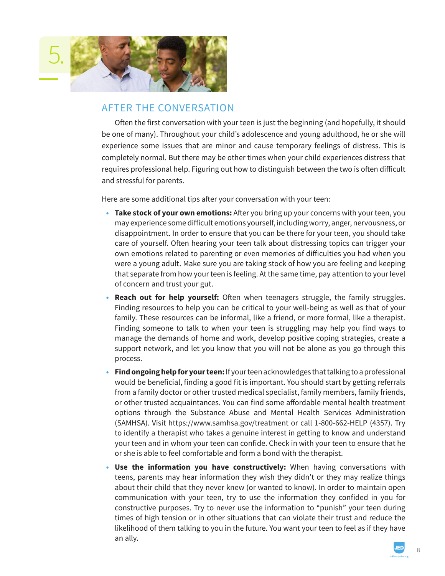

### AFTER THE CONVERSATION

Often the first conversation with your teen is just the beginning (and hopefully, it should be one of many). Throughout your child's adolescence and young adulthood, he or she will experience some issues that are minor and cause temporary feelings of distress. This is completely normal. But there may be other times when your child experiences distress that requires professional help. Figuring out how to distinguish between the two is often difficult and stressful for parents.

Here are some additional tips after your conversation with your teen:

- **• Take stock of your own emotions:** After you bring up your concerns with your teen, you may experience some difficult emotions yourself, including worry, anger, nervousness, or disappointment. In order to ensure that you can be there for your teen, you should take care of yourself. Often hearing your teen talk about distressing topics can trigger your own emotions related to parenting or even memories of difficulties you had when you were a young adult. Make sure you are taking stock of how you are feeling and keeping that separate from how your teen is feeling. At the same time, pay attention to your level of concern and trust your gut.
- **• Reach out for help yourself:** Often when teenagers struggle, the family struggles. Finding resources to help you can be critical to your well-being as well as that of your family. These resources can be informal, like a friend, or more formal, like a therapist. Finding someone to talk to when your teen is struggling may help you find ways to manage the demands of home and work, develop positive coping strategies, create a support network, and let you know that you will not be alone as you go through this process.
- **• Find ongoing help for your teen:** If your teen acknowledges that talking to a professional would be beneficial, finding a good fit is important. You should start by getting referrals from a family doctor or other trusted medical specialist, family members, family friends, or other trusted acquaintances. You can find some affordable mental health treatment options through the Substance Abuse and Mental Health Services Administration (SAMHSA). Visit https://www.samhsa.gov/treatment or call 1-800-662-HELP (4357). Try to identify a therapist who takes a genuine interest in getting to know and understand your teen and in whom your teen can confide. Check in with your teen to ensure that he or she is able to feel comfortable and form a bond with the therapist.
- **• Use the information you have constructively:** When having conversations with teens, parents may hear information they wish they didn't or they may realize things about their child that they never knew (or wanted to know). In order to maintain open communication with your teen, try to use the information they confided in you for constructive purposes. Try to never use the information to "punish" your teen during times of high tension or in other situations that can violate their trust and reduce the likelihood of them talking to you in the future. You want your teen to feel as if they have an ally.